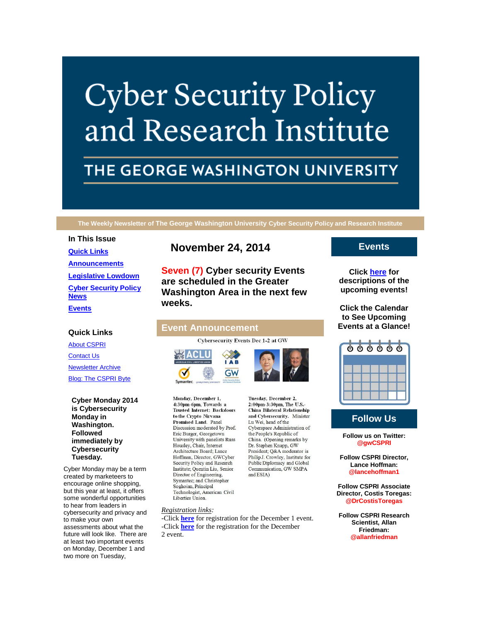# **Cyber Security Policy** and Research Institute

# THE GEORGE WASHINGTON UNIVERSITY

**The Weekly Newsletter of The George Washington University Cyber Security Policy and Research Institute**

#### **In This Issue**

**[Quick Links](https://mail.google.com/mail/u/0/#149e3164923574da_LETTER.BLOCK5) [Announcements](https://mail.google.com/mail/u/0/#149e3164923574da_LETTER.BLOCK26) [Legislative Lowdown](https://mail.google.com/mail/u/0/#149e3164923574da_LETTER.BLOCK53) [Cyber Security Policy](https://mail.google.com/mail/u/0/#149e3164923574da_LETTER.BLOCK73)  [News](https://mail.google.com/mail/u/0/#149e3164923574da_LETTER.BLOCK73) [Events](https://mail.google.com/mail/u/0/#149e3164923574da_LETTER.BLOCK30)**

# **November 24, 2014**

**Seven (7) Cyber security Events are scheduled in the Greater Washington Area in the next few weeks.**

# **Quick Links**

[About CSPRI](http://r20.rs6.net/tn.jsp?f=0017zaN2AsT3u9QMFgJ2hNbRz1yU9TO8QUDr_zoGuDnSk2Pd274oRx5WH22tcuY9e8z0HUHKJtcLCP4wmAupLi7hYlynMxjXQnUAzCxrZAxArUlabmCAnbBU7nkvS7v6GVYPMVd2RM5v3mmT7EmS_hG2zosuMjoayd-97uDUQqW1yg3zl62VKQGi-Z-mJe047YK&c=KaydRO8U3vm1KEIb5ThexZagBrL4wkFIwERYQwb6YBNvFNUzS4UlMA==&ch=HCHI6_ZoAbT5gGGnhi8n2XTOzaMvoQfVS26YAtadGbtdODZAB-5ESw==) [Contact Us](http://r20.rs6.net/tn.jsp?f=0017zaN2AsT3u9QMFgJ2hNbRz1yU9TO8QUDr_zoGuDnSk2Pd274oRx5WH22tcuY9e8zPOSsIRM07t5cNzKIQMDMVoyd6wpmthrSwJNlbng9fZyj1AhUJMgxVENHTwiZudrKcYkCmXbLyjGA33Ccvd1wpm_H_aN7Kmlrp7C81tRVaLp-D5wFich7q8H_wh0uLhEgl3P48Kjzxb8=&c=KaydRO8U3vm1KEIb5ThexZagBrL4wkFIwERYQwb6YBNvFNUzS4UlMA==&ch=HCHI6_ZoAbT5gGGnhi8n2XTOzaMvoQfVS26YAtadGbtdODZAB-5ESw==) [Newsletter Archive](http://r20.rs6.net/tn.jsp?f=0017zaN2AsT3u9QMFgJ2hNbRz1yU9TO8QUDr_zoGuDnSk2Pd274oRx5WH22tcuY9e8zwQBhKpjpjBpDkUEmicUdRHhKgNgsEOSZFOolqEU2BFr8Fd3Nz0JNMkjtXHgFcHTaz5B1iXBvrkYtTR_ZszWB5KgV8MJjOVI4L0lA1E8zmoSUJ09vYy1LX2B8JtAS2Uz314_-k0rC_Hc=&c=KaydRO8U3vm1KEIb5ThexZagBrL4wkFIwERYQwb6YBNvFNUzS4UlMA==&ch=HCHI6_ZoAbT5gGGnhi8n2XTOzaMvoQfVS26YAtadGbtdODZAB-5ESw==)

[Blog: The CSPRI Byte](http://r20.rs6.net/tn.jsp?f=0017zaN2AsT3u9QMFgJ2hNbRz1yU9TO8QUDr_zoGuDnSk2Pd274oRx5WH22tcuY9e8z5QImcC0gjUetH1G7V6flzLZifMPY7Zv2thhNoUbnjhTuGQD-Q8ZqlYlFuJXmQP012BCprXG7DGogtRnXWL_5tj-OCW-VxmdTkOJrE2R-VqoTpUUVFgwp15epOY3hwfZE&c=KaydRO8U3vm1KEIb5ThexZagBrL4wkFIwERYQwb6YBNvFNUzS4UlMA==&ch=HCHI6_ZoAbT5gGGnhi8n2XTOzaMvoQfVS26YAtadGbtdODZAB-5ESw==)

**Cyber Monday 2014 is Cybersecurity Monday in Washington. Followed immediately by Cybersecurity Tuesday.**

Cyber Monday may be a term created by marketeers to encourage online shopping, but this year at least, it offers some wonderful opportunities to hear from leaders in cybersecurity and privacy and to make your own assessments about what the future will look like. There are at least two important events on Monday, December 1 and two more on Tuesday,

# **Event Announcement**

Cybersecurity Events Dec 1-2 at GW



Monday, December 1, 4:30pm-6pm, Towards a **Trusted Internet: Backdoors** to the Crypto Nirvana Promised Land. Panel Discussion moderated by Prof. Eric Burger, Georgetown University with panelists Russ Housley, Chair, Internet Architecture Board; Lance Hoffman, Director, GWCvber Security Policy and Research Institute; Quentin Liu, Senior Director of Engineering, Symantec; and Christopher Soghoian, Principal Technologist, American Civil Liberties Union.



Tuesday, December 2, 2:00pm-3:30pm, The U.S.-China Bilateral Relationship and Cybersecurity. Minister Lu Wei, head of the Cyberspace Administration of the People's Republic of China. (Opening remarks by Dr. Stephen Knapp, GW President; Q&A moderator is Philip J. Crowley, Institute for Public Diplomacy and Global Communication, GW SMPA and ESIA)

#### *Registration links:*

-Click **[here](http://r20.rs6.net/tn.jsp?f=0017zaN2AsT3u9QMFgJ2hNbRz1yU9TO8QUDr_zoGuDnSk2Pd274oRx5WLqK5yCgAXuyw2K-xBLh8PHj4qKXzSja2Ka1wRAlwIc5jZ52UchMz05qTNmf-CBOZBqRDADww9vdpoAo2w9XeuRJGts9gWKjDF0CFDUMdzHEqvsYZYssvWgYvKDf56ZyRjJIIZ_3-rD0UL3iolFEuFIZQWqrGRGdaquQJnL7AW5BX59sbFTvKh45fAHQ4VvOkVfP_tdUUoYbjykCwMnjTOyQcvQKMz9HRNRSrgGhS71ppsb2_RQb0SAuD8LpDjWbRw==&c=KaydRO8U3vm1KEIb5ThexZagBrL4wkFIwERYQwb6YBNvFNUzS4UlMA==&ch=HCHI6_ZoAbT5gGGnhi8n2XTOzaMvoQfVS26YAtadGbtdODZAB-5ESw==)** for registration for the December 1 event. -Click **[here](http://r20.rs6.net/tn.jsp?f=0017zaN2AsT3u9QMFgJ2hNbRz1yU9TO8QUDr_zoGuDnSk2Pd274oRx5WLqK5yCgAXuykrC2DHLPFbq48wiQ-FTKP976LwQXyLI0zUnUB-Kp2UWem9QFXAQz9QJbQXUuad_Mt_A4XckhbP3JgPjH0wnFpGdMSV8lH6MEemkVBroh7dWWatfX9H0hHLz2WWKOk5m0aU_06zbgxDFa3Q-JH5ggTDhIpU5e553EZiC4-YJ7XIMjEY_jCzGCvuSjQtS4GuRXgSiXs-ysno7hQBSOk5h5dA==&c=KaydRO8U3vm1KEIb5ThexZagBrL4wkFIwERYQwb6YBNvFNUzS4UlMA==&ch=HCHI6_ZoAbT5gGGnhi8n2XTOzaMvoQfVS26YAtadGbtdODZAB-5ESw==)** for the registration for the December 2 event.

# **Events**

**Click [here](http://r20.rs6.net/tn.jsp?f=0017zaN2AsT3u9QMFgJ2hNbRz1yU9TO8QUDr_zoGuDnSk2Pd274oRx5WH22tcuY9e8zz8i0Q8OXgJrbVWC5XXS-mFt2xAV-wmBLHxgg6XlEDLcsWsLnlcRG20E9YNmeWTGiwJ55TBbNCjJ3Bn2qFddwvUN5Fcn1CxSXnn3p1wbI0OAIvXDEUyCTbG8z9Cbin1zXs1ipgaCGio0Raes3l-TfQA==&c=KaydRO8U3vm1KEIb5ThexZagBrL4wkFIwERYQwb6YBNvFNUzS4UlMA==&ch=HCHI6_ZoAbT5gGGnhi8n2XTOzaMvoQfVS26YAtadGbtdODZAB-5ESw==) for descriptions of the upcoming events!**

**Click the Calendar to See Upcoming Events at a Glance!**



# **Follow Us**

**Follow us on Twitter: @gwCSPRI**

**Follow CSPRI Director, Lance Hoffman: @lancehoffman1**

**Follow CSPRI Associate Director, Costis Toregas: @DrCostisToregas**

**Follow CSPRI Research Scientist, Allan Friedman: @allanfriedman**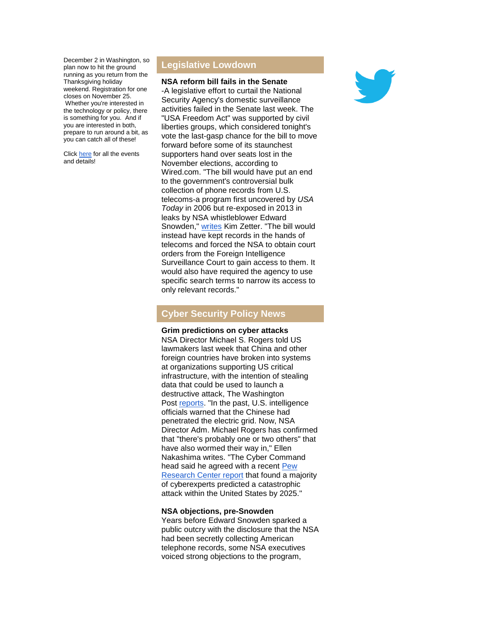December 2 in Washington, so plan now to hit the ground running as you return from the Thanksgiving holiday weekend. Registration for one closes on November 25. Whether you're interested in the technology or policy, there is something for you. And if you are interested in both, prepare to run around a bit, as you can catch all of these!

Click [here](http://r20.rs6.net/tn.jsp?f=0017zaN2AsT3u9QMFgJ2hNbRz1yU9TO8QUDr_zoGuDnSk2Pd274oRx5WLqK5yCgAXuyAO_onRGhYz2zKERL5F9Igj04bUvVRaU7EyjlvGwRdTLREeOZwln8XjnuHnkyhoYPhFtCz7Kbd7YqN8ccXIfichMMvFBOQTkfqw7JkUhBtWqZWXNJTdiaJ44VKFPc-cXKIsmRRAJHUXY94_S8c8gzFg==&c=KaydRO8U3vm1KEIb5ThexZagBrL4wkFIwERYQwb6YBNvFNUzS4UlMA==&ch=HCHI6_ZoAbT5gGGnhi8n2XTOzaMvoQfVS26YAtadGbtdODZAB-5ESw==) for all the events and details!

# **Legislative Lowdown**

**NSA reform bill fails in the Senate**

-A legislative effort to curtail the National Security Agency's domestic surveillance activities failed in the Senate last week. The "USA Freedom Act" was supported by civil liberties groups, which considered tonight's vote the last-gasp chance for the bill to move forward before some of its staunchest supporters hand over seats lost in the November elections, according to Wired.com. "The bill would have put an end to the government's controversial bulk collection of phone records from U.S. telecoms-a program first uncovered by *USA Today* in 2006 but re-exposed in 2013 in leaks by NSA whistleblower Edward Snowden," [writes](http://r20.rs6.net/tn.jsp?f=0017zaN2AsT3u9QMFgJ2hNbRz1yU9TO8QUDr_zoGuDnSk2Pd274oRx5WLqK5yCgAXuyYZnfh-mYXCunOPb7TAob27cPuSIYgQnCsRreX_6ydaGR-Fbza0Mn8kSv3f8BzmFsfh3spio6m3GvMI9xJszwqyHYYXBGxpwxL16hVMUnsTIWqZcdWSrcR3MG_I9nJvrdLGcTjJVBkJt20kMzpxJlAr50br29Vdnve_X3DBc31DI=&c=KaydRO8U3vm1KEIb5ThexZagBrL4wkFIwERYQwb6YBNvFNUzS4UlMA==&ch=HCHI6_ZoAbT5gGGnhi8n2XTOzaMvoQfVS26YAtadGbtdODZAB-5ESw==) Kim Zetter. "The bill would instead have kept records in the hands of telecoms and forced the NSA to obtain court orders from the Foreign Intelligence Surveillance Court to gain access to them. It would also have required the agency to use specific search terms to narrow its access to only relevant records."

# **Cyber Security Policy News**

# **Grim predictions on cyber attacks**

NSA Director Michael S. Rogers told US lawmakers last week that China and other foreign countries have broken into systems at organizations supporting US critical infrastructure, with the intention of stealing data that could be used to launch a destructive attack, The Washington Post [reports.](http://r20.rs6.net/tn.jsp?f=0017zaN2AsT3u9QMFgJ2hNbRz1yU9TO8QUDr_zoGuDnSk2Pd274oRx5WLqK5yCgAXuyHdQwAgIWZRVQUUTqvaZeiQoDvIlTHGM8N0Wf3ifLlwP72U35CaWp5YuBNDES_rL33PszMg28BPenO1tt2biDV7wkNTRCzNqq2WyAf2ExOzrIf7NzP8P9b2hOPqh_e5te_YGgJfWRaGR1_QbV6TGlyV3QqdmfUmdzLKosFjW7ZJZNxCzySneT6O1q7cS1CXPBN_WPdaNIMOopT1wxFCwh4hZT2NpBzjiswo-u3vJfMVbQ3t9lShItL01Y5q8s07MX4XQOztkrtdYinavgUr-kACwJr9bqjmKfFbCLKZfwYlihOtxljU8hvZmTkP7o6YXSuSYSPfRXbpw=&c=KaydRO8U3vm1KEIb5ThexZagBrL4wkFIwERYQwb6YBNvFNUzS4UlMA==&ch=HCHI6_ZoAbT5gGGnhi8n2XTOzaMvoQfVS26YAtadGbtdODZAB-5ESw==) "In the past, U.S. intelligence officials warned that the Chinese had penetrated the electric grid. Now, NSA Director Adm. Michael Rogers has confirmed that "there's probably one or two others" that have also wormed their way in," Ellen Nakashima writes. "The Cyber Command head said he agreed with a recent [Pew](http://r20.rs6.net/tn.jsp?f=0017zaN2AsT3u9QMFgJ2hNbRz1yU9TO8QUDr_zoGuDnSk2Pd274oRx5WLqK5yCgAXuyUvLIDC6WYCq_NGSNvGLQd3eh8m7ulyvlAUACek-KEDrk0dnM1MNpTLzb2601lUcIUqCQgjBK_OebxmCu81wTrYZDmFA1aH8vGdhAPlu9RM4GV8XfNi7YKL7MJIl77-i1Q4OJSjH14WWq4Cx_aRTssz1eEGYR3iAUWeXKWLF-5ikHm3YIVcTLQQ==&c=KaydRO8U3vm1KEIb5ThexZagBrL4wkFIwERYQwb6YBNvFNUzS4UlMA==&ch=HCHI6_ZoAbT5gGGnhi8n2XTOzaMvoQfVS26YAtadGbtdODZAB-5ESw==)  [Research Center report](http://r20.rs6.net/tn.jsp?f=0017zaN2AsT3u9QMFgJ2hNbRz1yU9TO8QUDr_zoGuDnSk2Pd274oRx5WLqK5yCgAXuyUvLIDC6WYCq_NGSNvGLQd3eh8m7ulyvlAUACek-KEDrk0dnM1MNpTLzb2601lUcIUqCQgjBK_OebxmCu81wTrYZDmFA1aH8vGdhAPlu9RM4GV8XfNi7YKL7MJIl77-i1Q4OJSjH14WWq4Cx_aRTssz1eEGYR3iAUWeXKWLF-5ikHm3YIVcTLQQ==&c=KaydRO8U3vm1KEIb5ThexZagBrL4wkFIwERYQwb6YBNvFNUzS4UlMA==&ch=HCHI6_ZoAbT5gGGnhi8n2XTOzaMvoQfVS26YAtadGbtdODZAB-5ESw==) that found a majority of cyberexperts predicted a catastrophic attack within the United States by 2025."

# **NSA objections, pre-Snowden**

Years before Edward Snowden sparked a public outcry with the disclosure that the NSA had been secretly collecting American telephone records, some NSA executives voiced strong objections to the program,

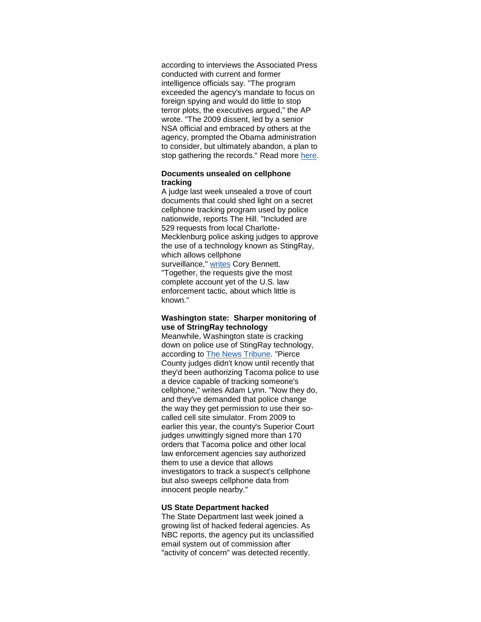according to interviews the Associated Press conducted with current and former intelligence officials say. "The program exceeded the agency's mandate to focus on foreign spying and would do little to stop terror plots, the executives argued," the AP wrote. "The 2009 dissent, led by a senior NSA official and embraced by others at the agency, prompted the Obama administration to consider, but ultimately abandon, a plan to stop gathering the records." Read more [here.](http://r20.rs6.net/tn.jsp?f=0017zaN2AsT3u9QMFgJ2hNbRz1yU9TO8QUDr_zoGuDnSk2Pd274oRx5WLqK5yCgAXuyhldzQsid2_rehXvl0XKh1Yq8Xgt-IgUhzom1Iy5c5mY3mQhmirag6fHLfWzcAiQ06dRJ_czFrTLk8sHhYbDewZAaYCjgGr0QGrrL5DfcOnCDFhsmNcvVpBlCBKQILQzvDKQudiqYTCm_GITqr9-vBHtvPl8gh0APohz1DmY_1dxmG9eoMhzeXSfwNwSCO8TKRJko2sgpPJ7yh8EyhF19ZDhBZhclU52T&c=KaydRO8U3vm1KEIb5ThexZagBrL4wkFIwERYQwb6YBNvFNUzS4UlMA==&ch=HCHI6_ZoAbT5gGGnhi8n2XTOzaMvoQfVS26YAtadGbtdODZAB-5ESw==)

#### **Documents unsealed on cellphone tracking**

A judge last week unsealed a trove of court documents that could shed light on a secret cellphone tracking program used by police nationwide, reports The Hill. "Included are 529 requests from local Charlotte-Mecklenburg police asking judges to approve the use of a technology known as StingRay, which allows cellphone surveillance," [writes](http://r20.rs6.net/tn.jsp?f=0017zaN2AsT3u9QMFgJ2hNbRz1yU9TO8QUDr_zoGuDnSk2Pd274oRx5WLqK5yCgAXuy3kkKzJ6EDzyHs8xmsmqQ7VSdJ_-32w7rLLPRaBstLgU-i7iBlr0gHn6z6KhyOj1sbqCQ66vHmaJNeSJyPomdGdJ588G6XOMOjIPK6CyPVcrgZJWD_fnENFv1flT7tWXSCcCTQJXw4UaZG-xzIIsndoW6TZpTIYUN7e4HePAFIniWMqAwB7_rqNtggLfohu7Sx9nPasslQeE=&c=KaydRO8U3vm1KEIb5ThexZagBrL4wkFIwERYQwb6YBNvFNUzS4UlMA==&ch=HCHI6_ZoAbT5gGGnhi8n2XTOzaMvoQfVS26YAtadGbtdODZAB-5ESw==) Cory Bennett. "Together, the requests give the most complete account yet of the U.S. law enforcement tactic, about which little is known."

## **Washington state: Sharper monitoring of use of StringRay technology**

Meanwhile, Washington state is cracking down on police use of StingRay technology, according to [The News Tribune.](http://r20.rs6.net/tn.jsp?f=0017zaN2AsT3u9QMFgJ2hNbRz1yU9TO8QUDr_zoGuDnSk2Pd274oRx5WLqK5yCgAXuyFt2b3mZ2VULn2whN2mjUaJoq3ttAvRE4zIK79Yhd90KB3scRQMgPrfsuBpeXJU1s011m5NkwqACKsCO8pMBhRsVbx-IF2ZFrui2qVN8Z4HxTeJNicv59oat0puksb0oyHBL162zIi7DlVkrJUSBn88uIBg_V4F_8HkMpUnHk72HCvWYVxELhAdQjWwAtWqLErC6nTU0v5NXYWWVLhzuXka41mI_lq19dFG-NHt8VVyU=&c=KaydRO8U3vm1KEIb5ThexZagBrL4wkFIwERYQwb6YBNvFNUzS4UlMA==&ch=HCHI6_ZoAbT5gGGnhi8n2XTOzaMvoQfVS26YAtadGbtdODZAB-5ESw==) "Pierce County judges didn't know until recently that they'd been authorizing Tacoma police to use a device capable of tracking someone's cellphone," writes Adam Lynn. "Now they do, and they've demanded that police change the way they get permission to use their socalled cell site simulator. From 2009 to earlier this year, the county's Superior Court judges unwittingly signed more than 170 orders that Tacoma police and other local law enforcement agencies say authorized them to use a device that allows investigators to track a suspect's cellphone but also sweeps cellphone data from innocent people nearby."

#### **US State Department hacked**

The State Department last week joined a growing list of hacked federal agencies. As NBC reports, the agency put its unclassified email system out of commission after "activity of concern" was detected recently.